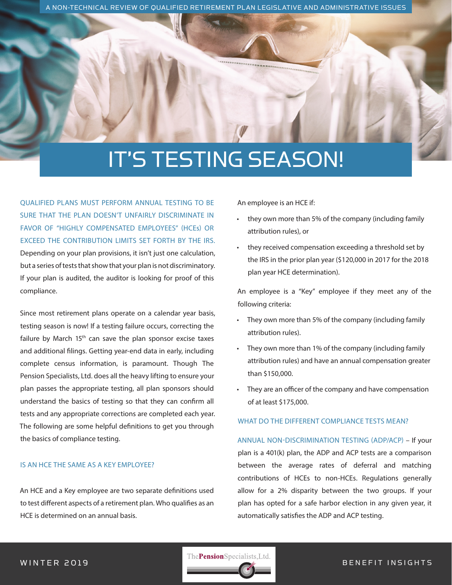A NON-TECHNICAL REVIEW OF QUALIFIED RETIREMENT PLAN LEGISLATIVE AND ADMINISTRATIVE ISSUES

# IT'S TESTING SEASON!

QUALIFIED PLANS MUST PERFORM ANNUAL TESTING TO BE SURE THAT THE PLAN DOESN'T UNFAIRLY DISCRIMINATE IN FAVOR OF "HIGHLY COMPENSATED EMPLOYEES" (HCEs) OR EXCEED THE CONTRIBUTION LIMITS SET FORTH BY THE IRS. Depending on your plan provisions, it isn't just one calculation, but a series of tests that show that your plan is not discriminatory. If your plan is audited, the auditor is looking for proof of this compliance.

Since most retirement plans operate on a calendar year basis, testing season is now! If a testing failure occurs, correcting the failure by March 15<sup>th</sup> can save the plan sponsor excise taxes and additional filings. Getting year-end data in early, including complete census information, is paramount. Though The Pension Specialists, Ltd. does all the heavy lifting to ensure your plan passes the appropriate testing, all plan sponsors should understand the basics of testing so that they can confirm all tests and any appropriate corrections are completed each year. The following are some helpful definitions to get you through the basics of compliance testing.

#### IS AN HCE THE SAME AS A KEY EMPLOYEE?

An HCE and a Key employee are two separate definitions used to test different aspects of a retirement plan. Who qualifies as an HCE is determined on an annual basis.

An employee is an HCE if:

- they own more than 5% of the company (including family attribution rules), or
- they received compensation exceeding a threshold set by the IRS in the prior plan year (\$120,000 in 2017 for the 2018 plan year HCE determination).

An employee is a "Key" employee if they meet any of the following criteria:

- They own more than 5% of the company (including family attribution rules).
- They own more than 1% of the company (including family attribution rules) and have an annual compensation greater than \$150,000.
- They are an officer of the company and have compensation of at least \$175,000.

#### WHAT DO THE DIFFERENT COMPLIANCE TESTS MEAN?

#### ANNUAL NON-DISCRIMINATION TESTING (ADP/ACP) – If your

plan is a 401(k) plan, the ADP and ACP tests are a comparison between the average rates of deferral and matching contributions of HCEs to non-HCEs. Regulations generally allow for a 2% disparity between the two groups. If your plan has opted for a safe harbor election in any given year, it automatically satisfies the ADP and ACP testing.

WINTER 2019 **BENEFIT IN SIGHTS**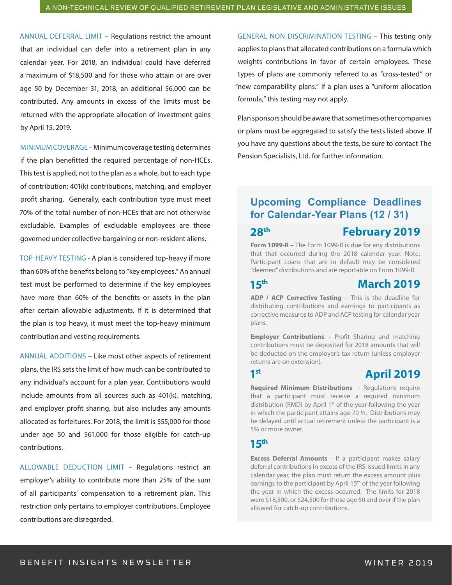ANNUAL DEFERRAL LIMIT – Regulations restrict the amount that an individual can defer into a retirement plan in any calendar year. For 2018, an individual could have deferred a maximum of \$18,500 and for those who attain or are over age 50 by December 31, 2018, an additional \$6,000 can be contributed. Any amounts in excess of the limits must be returned with the appropriate allocation of investment gains by April 15, 2019.

MINIMUM COVERAGE – Minimum coverage testing determines if the plan benefitted the required percentage of non-HCEs. This test is applied, not to the plan as a whole, but to each type of contribution; 401(k) contributions, matching, and employer profit sharing. Generally, each contribution type must meet 70% of the total number of non-HCEs that are not otherwise excludable. Examples of excludable employees are those governed under collective bargaining or non-resident aliens.

TOP-HEAVY TESTING - A plan is considered top-heavy if more than 60% of the benefits belong to "key employees." An annual test must be performed to determine if the key employees have more than 60% of the benefits or assets in the plan after certain allowable adjustments. If it is determined that the plan is top heavy, it must meet the top-heavy minimum contribution and vesting requirements.

ANNUAL ADDITIONS – Like most other aspects of retirement plans, the IRS sets the limit of how much can be contributed to any individual's account for a plan year. Contributions would include amounts from all sources such as 401(k), matching, and employer profit sharing, but also includes any amounts allocated as forfeitures. For 2018, the limit is \$55,000 for those under age 50 and \$61,000 for those eligible for catch-up contributions.

ALLOWABLE DEDUCTION LIMIT – Regulations restrict an employer's ability to contribute more than 25% of the sum of all participants' compensation to a retirement plan. This restriction only pertains to employer contributions. Employee contributions are disregarded.

GENERAL NON-DISCRIMINATION TESTING – This testing only applies to plans that allocated contributions on a formula which weights contributions in favor of certain employees. These types of plans are commonly referred to as "cross-tested" or "new comparability plans." If a plan uses a "uniform allocation formula," this testing may not apply.

Plan sponsors should be aware that sometimes other companies or plans must be aggregated to satisfy the tests listed above. If you have any questions about the tests, be sure to contact The Pension Specialists, Ltd. for further information.

#### **Upcoming Compliance Deadlines for Calendar-Year Plans (12 / 31)**

**28th**

### **February 2019**

**Form 1099-R** – The Form 1099-R is due for any distributions that that occurred during the 2018 calendar year. Note: Participant Loans that are in default may be considered "deemed" distributions and are reportable on Form 1099-R.

**15th**

#### **March 2019**

**ADP / ACP Corrective Testing** – This is the deadline for distributing contributions and earnings to participants as corrective measures to ADP and ACP testing for calendar year plans.

**Employer Contributions - Profit Sharing and matching** contributions must be deposited for 2018 amounts that will be deducted on the employer's tax return (unless employer returns are on extension).

#### **1st**

## **April 2019**

**Required Minimum Distributions** - Regulations require that a participant must receive a required minimum distribution (RMD) by April 1<sup>st</sup> of the year following the year in which the participant attains age 70 ½. Distributions may be delayed until actual retirement unless the participant is a 5% or more owner.

#### **15th**

**Excess Deferral Amounts** - If a participant makes salary deferral contributions in excess of the IRS-issued limits in any calendar year, the plan must return the excess amount plus earnings to the participant by April 15<sup>th</sup> of the year following the year in which the excess occurred. The limits for 2018 were \$18,500, or \$24,500 for those age 50 and over if the plan allowed for catch-up contributions.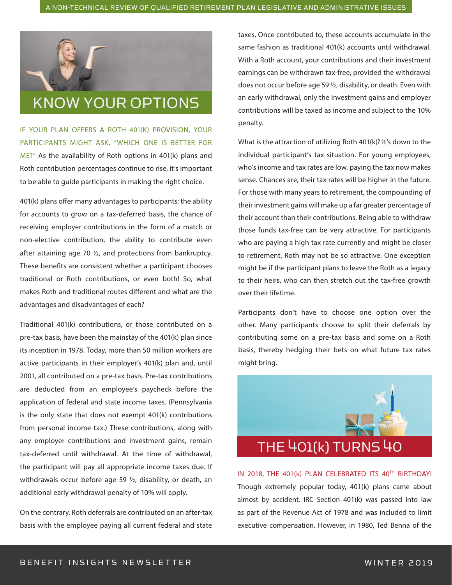

IF YOUR PLAN OFFERS A ROTH 401(K) PROVISION, YOUR PARTICIPANTS MIGHT ASK, "WHICH ONE IS BETTER FOR ME?" As the availability of Roth options in 401(k) plans and Roth contribution percentages continue to rise, it's important to be able to guide participants in making the right choice.

401(k) plans offer many advantages to participants; the ability for accounts to grow on a tax-deferred basis, the chance of receiving employer contributions in the form of a match or non-elective contribution, the ability to contribute even after attaining age 70 ½, and protections from bankruptcy. These benefits are consistent whether a participant chooses traditional or Roth contributions, or even both! So, what makes Roth and traditional routes different and what are the advantages and disadvantages of each?

Traditional 401(k) contributions, or those contributed on a pre-tax basis, have been the mainstay of the 401(k) plan since its inception in 1978. Today, more than 50 million workers are active participants in their employer's 401(k) plan and, until 2001, all contributed on a pre-tax basis. Pre-tax contributions are deducted from an employee's paycheck before the application of federal and state income taxes. (Pennsylvania is the only state that does not exempt 401(k) contributions from personal income tax.) These contributions, along with any employer contributions and investment gains, remain tax-deferred until withdrawal. At the time of withdrawal, the participant will pay all appropriate income taxes due. If withdrawals occur before age 59 ½, disability, or death, an additional early withdrawal penalty of 10% will apply.

On the contrary, Roth deferrals are contributed on an after-tax basis with the employee paying all current federal and state

taxes. Once contributed to, these accounts accumulate in the same fashion as traditional 401(k) accounts until withdrawal. With a Roth account, your contributions and their investment earnings can be withdrawn tax-free, provided the withdrawal does not occur before age 59 ½, disability, or death. Even with an early withdrawal, only the investment gains and employer contributions will be taxed as income and subject to the 10% penalty.

What is the attraction of utilizing Roth 401(k)? It's down to the individual participant's tax situation. For young employees, who's income and tax rates are low, paying the tax now makes sense. Chances are, their tax rates will be higher in the future. For those with many years to retirement, the compounding of their investment gains will make up a far greater percentage of their account than their contributions. Being able to withdraw those funds tax-free can be very attractive. For participants who are paying a high tax rate currently and might be closer to retirement, Roth may not be so attractive. One exception might be if the participant plans to leave the Roth as a legacy to their heirs, who can then stretch out the tax-free growth over their lifetime.

Participants don't have to choose one option over the other. Many participants choose to split their deferrals by contributing some on a pre-tax basis and some on a Roth basis, thereby hedging their bets on what future tax rates might bring.



IN 2018, THE 401(k) PLAN CELEBRATED ITS 40TH BIRTHDAY! Though extremely popular today, 401(k) plans came about almost by accident. IRC Section 401(k) was passed into law as part of the Revenue Act of 1978 and was included to limit executive compensation. However, in 1980, Ted Benna of the